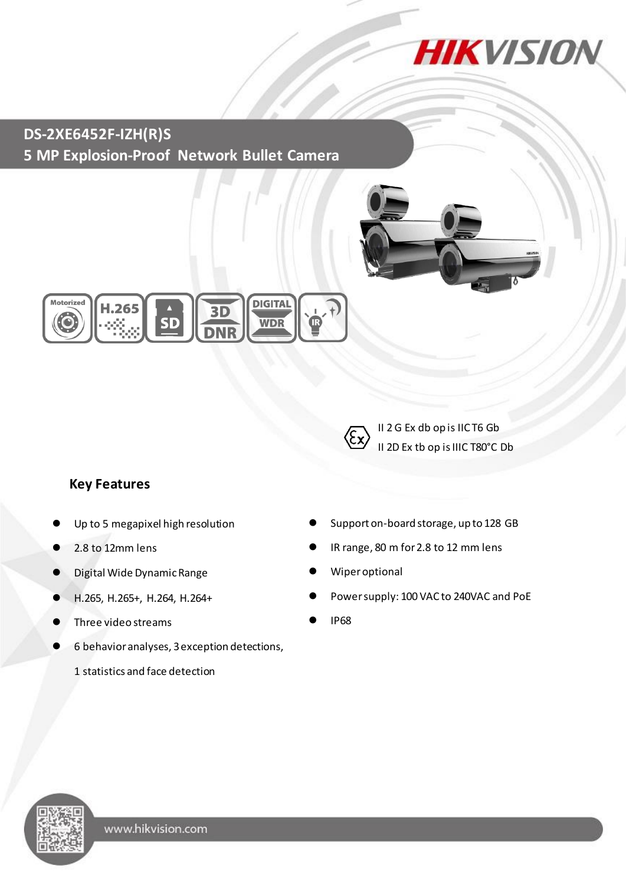

**DS-2XE6452F-IZH(R)S 5 MP Explosion-Proof Network Bullet Camera**





II 2 G Ex db op is IIC T6 Gb II 2D Ex tb op is IIIC T80°C Db

### **Key Features**

- Up to 5 megapixel high resolution
- 2.8 to 12mm lens
- Digital Wide Dynamic Range
- H.265, H.265+, H.264, H.264+
- Three video streams
- 6 behavior analyses, 3 exception detections, 1 statistics and face detection
- Support on-board storage, up to 128 GB
- IR range, 80 m for 2.8 to 12 mm lens
- Wiper optional
- Power supply: 100 VACto 240VAC and PoE
- IP68

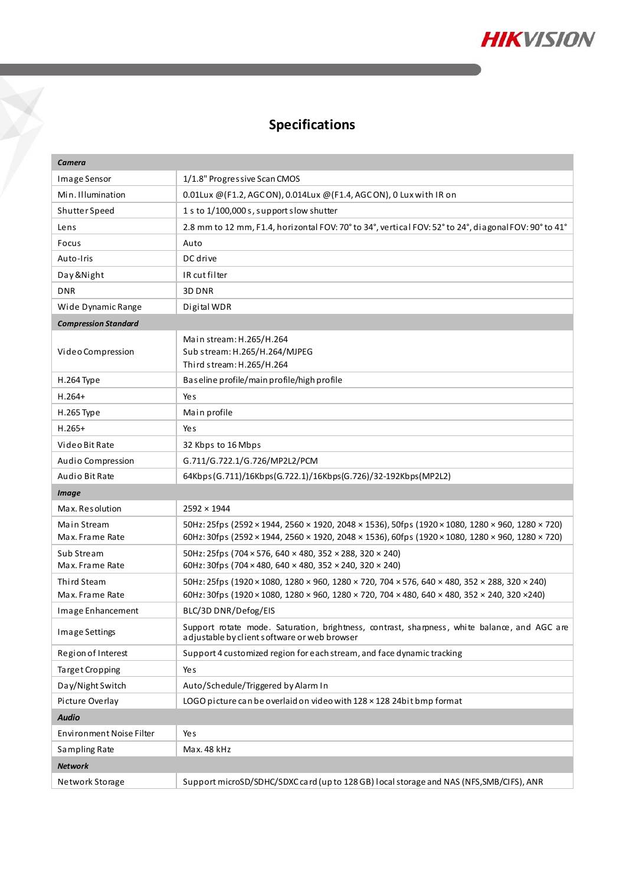

# **Specifications**

T

| Camera                         |                                                                                                                                                                                                      |  |
|--------------------------------|------------------------------------------------------------------------------------------------------------------------------------------------------------------------------------------------------|--|
| Image Sensor                   | 1/1.8" Progressive Scan CMOS                                                                                                                                                                         |  |
| Min. Illumination              | 0.01Lux @(F1.2, AGCON), 0.014Lux @(F1.4, AGCON), 0 Lux with IR on                                                                                                                                    |  |
| Shutter Speed                  | 1 s to 1/100,000 s, support slow shutter                                                                                                                                                             |  |
| Lens                           | 2.8 mm to 12 mm, F1.4, horizontal FOV: 70° to 34°, vertical FOV: 52° to 24°, diagonal FOV: 90° to 41°                                                                                                |  |
| Focus                          | Auto                                                                                                                                                                                                 |  |
| Auto-Iris                      | DC drive                                                                                                                                                                                             |  |
| Day&Night                      | IR cut filter                                                                                                                                                                                        |  |
| DNR                            | 3D DNR                                                                                                                                                                                               |  |
| Wide Dynamic Range             | Digital WDR                                                                                                                                                                                          |  |
| <b>Compression Standard</b>    |                                                                                                                                                                                                      |  |
| Video Compression              | Main stream: H.265/H.264<br>Sub stream: H.265/H.264/MJPEG<br>Third stream: H.265/H.264                                                                                                               |  |
| H.264 Type                     | Baseline profile/main profile/high profile                                                                                                                                                           |  |
| $H.264+$                       | Yes                                                                                                                                                                                                  |  |
| H.265 Type                     | Main profile                                                                                                                                                                                         |  |
| $H.265+$                       | Ye s                                                                                                                                                                                                 |  |
| Video Bit Rate                 | 32 Kbps to 16 Mbps                                                                                                                                                                                   |  |
| Audio Compression              | G.711/G.722.1/G.726/MP2L2/PCM                                                                                                                                                                        |  |
| Audio Bit Rate                 | 64Kbps(G.711)/16Kbps(G.722.1)/16Kbps(G.726)/32-192Kbps(MP2L2)                                                                                                                                        |  |
| Image                          |                                                                                                                                                                                                      |  |
| Max. Resolution                | $2592 \times 1944$                                                                                                                                                                                   |  |
| Main Stream<br>Max. Frame Rate | 50Hz: 25fps (2592 × 1944, 2560 × 1920, 2048 × 1536), 50fps (1920 × 1080, 1280 × 960, 1280 × 720)<br>60Hz: 30fps (2592 × 1944, 2560 × 1920, 2048 × 1536), 60fps (1920 × 1080, 1280 × 960, 1280 × 720) |  |
| Sub Stream<br>Max. Frame Rate  | 50Hz: 25fps (704 × 576, 640 × 480, 352 × 288, 320 × 240)<br>60Hz: 30fps (704 × 480, 640 × 480, 352 × 240, 320 × 240)                                                                                 |  |
| Third Steam<br>Max. Frame Rate | 50Hz: 25fps (1920 × 1080, 1280 × 960, 1280 × 720, 704 × 576, 640 × 480, 352 × 288, 320 × 240)<br>60Hz: 30fps (1920 × 1080, 1280 × 960, 1280 × 720, 704 × 480, 640 × 480, 352 × 240, 320 × 240)       |  |
| Image Enhancement              | BLC/3D DNR/Defog/EIS                                                                                                                                                                                 |  |
| Image Settings                 | Support rotate mode. Saturation, brightness, contrast, sharpness, white balance, and AGC are<br>adjustable by client software or web browser                                                         |  |
| Region of Interest             | Support 4 customized region for each stream, and face dynamic tracking                                                                                                                               |  |
| Target Cropping                | Yes                                                                                                                                                                                                  |  |
| Day/Night Switch               | Auto/Schedule/Triggered by Alarm In                                                                                                                                                                  |  |
| Picture Overlay                | LOGO picture can be overlaid on video with 128 x 128 24bit bmp format                                                                                                                                |  |
| <b>Audio</b>                   |                                                                                                                                                                                                      |  |
| Environment Noise Filter       | Yes                                                                                                                                                                                                  |  |
| Sampling Rate                  | Max. 48 kHz                                                                                                                                                                                          |  |
| <b>Network</b>                 |                                                                                                                                                                                                      |  |
| Network Storage                | Support microSD/SDHC/SDXC card (up to 128 GB) local storage and NAS (NFS, SMB/CIFS), ANR                                                                                                             |  |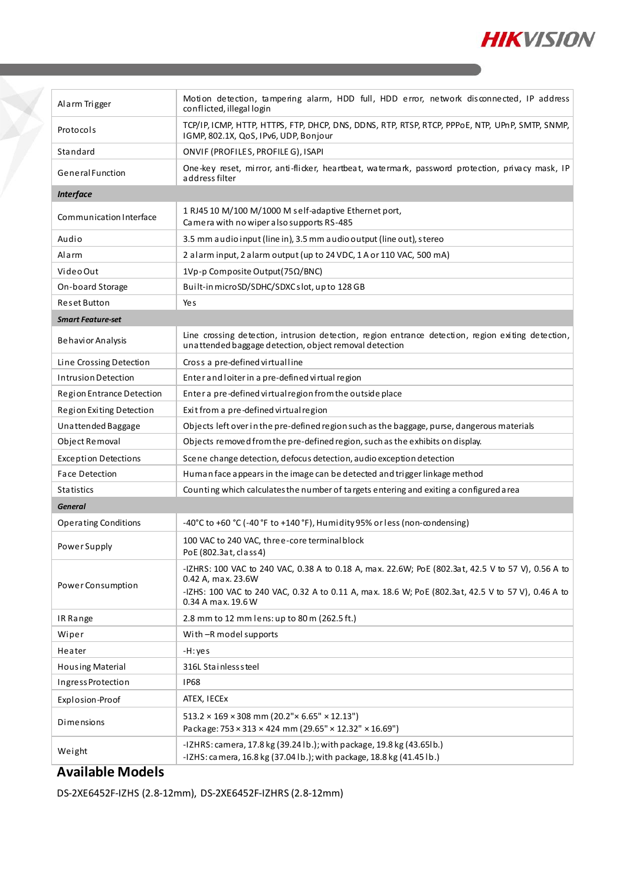

| Al a rm Trigger             | Motion detection, tampering alarm, HDD full, HDD error, network disconnected, IP address<br>conflicted, illegal login                                                                                                                                |
|-----------------------------|------------------------------------------------------------------------------------------------------------------------------------------------------------------------------------------------------------------------------------------------------|
| Protocols                   | TCP/IP, ICMP, HTTP, HTTPS, FTP, DHCP, DNS, DDNS, RTP, RTSP, RTCP, PPPOE, NTP, UPnP, SMTP, SNMP,<br>IGMP, 802.1X, QoS, IPv6, UDP, Bonjour                                                                                                             |
| Standard                    | ONVIF (PROFILES, PROFILE G), ISAPI                                                                                                                                                                                                                   |
| <b>General Function</b>     | One-key reset, mirror, anti-flicker, heartbeat, watermark, password protection, privacy mask, IP<br>address filter                                                                                                                                   |
| <b>Interface</b>            |                                                                                                                                                                                                                                                      |
| Communication Interface     | 1 RJ45 10 M/100 M/1000 M self-adaptive Ethernet port,<br>Camera with no wiper also supports RS-485                                                                                                                                                   |
| Audio                       | 3.5 mm audio input (line in), 3.5 mm audio output (line out), stereo                                                                                                                                                                                 |
| Alarm                       | 2 alarm input, 2 alarm output (up to 24 VDC, 1 A or 110 VAC, 500 mA)                                                                                                                                                                                 |
| Video Out                   | 1Vp-p Composite Output(75Ω/BNC)                                                                                                                                                                                                                      |
| On-board Storage            | Built-in microSD/SDHC/SDXCslot, up to 128 GB                                                                                                                                                                                                         |
| Reset Button                | Ye s                                                                                                                                                                                                                                                 |
| <b>Smart Feature-set</b>    |                                                                                                                                                                                                                                                      |
| Behavior Analysis           | Line crossing detection, intrusion detection, region entrance detection, region exiting detection,<br>unattended baggage detection, object removal detection                                                                                         |
| Line Crossing Detection     | Cross a pre-defined virtualline                                                                                                                                                                                                                      |
| <b>Intrusion Detection</b>  | Enter and loiter in a pre-defined virtual region                                                                                                                                                                                                     |
| Region Entrance Detection   | Enter a pre-defined virtual region from the outside place                                                                                                                                                                                            |
| Region Exiting Detection    | Exit from a pre-defined virtual region                                                                                                                                                                                                               |
| Unattended Baggage          | Objects left over in the pre-defined region such as the baggage, purse, dangerous materials                                                                                                                                                          |
| Object Removal              | Objects removed from the pre-defined region, such as the exhibits on display.                                                                                                                                                                        |
| <b>Exception Detections</b> | Scene change detection, defocus detection, audio exception detection                                                                                                                                                                                 |
| <b>Face Detection</b>       | Human face appears in the image can be detected and trigger linkage method                                                                                                                                                                           |
| <b>Statistics</b>           | Counting which calculates the number of targets entering and exiting a configured area                                                                                                                                                               |
| <b>General</b>              |                                                                                                                                                                                                                                                      |
| Operating Conditions        | -40°C to +60 °C (-40 °F to +140 °F), Humidity 95% or less (non-condensing)                                                                                                                                                                           |
| Power Supply                | 100 VAC to 240 VAC, three-core terminal block<br>PoE (802.3at, class 4)                                                                                                                                                                              |
| Power Consumption           | -IZHRS: 100 VAC to 240 VAC, 0.38 A to 0.18 A, max. 22.6W; PoE (802.3at, 42.5 V to 57 V), 0.56 A to<br>0.42 A, max. 23.6W<br>-IZHS: 100 VAC to 240 VAC, 0.32 A to 0.11 A, max. 18.6 W; PoE (802.3at, 42.5 V to 57 V), 0.46 A to<br>0.34 A max. 19.6 W |
| IR Range                    | 2.8 mm to 12 mm lens: up to 80 m (262.5 ft.)                                                                                                                                                                                                         |
| Wiper                       | With-R model supports                                                                                                                                                                                                                                |
| Heater                      | -H:yes                                                                                                                                                                                                                                               |
| <b>Housing Material</b>     | 316L Stainless steel                                                                                                                                                                                                                                 |
| Ingress Protection          | <b>IP68</b>                                                                                                                                                                                                                                          |
| Explosion-Proof             | ATEX, IECEX                                                                                                                                                                                                                                          |
| Dimensions                  | $513.2 \times 169 \times 308$ mm (20.2"× 6.65" × 12.13")<br>Package: 753 × 313 × 424 mm (29.65" × 12.32" × 16.69")                                                                                                                                   |
| Weight                      | -IZHRS: camera, 17.8 kg (39.24 lb.); with package, 19.8 kg (43.65lb.)<br>-IZHS: camera, 16.8 kg (37.04 lb.); with package, 18.8 kg (41.45 lb.)                                                                                                       |

### **Available Models**

 $\sum_{i=1}^{n}$ 

DS-2XE6452F-IZHS (2.8-12mm), DS-2XE6452F-IZHRS (2.8-12mm)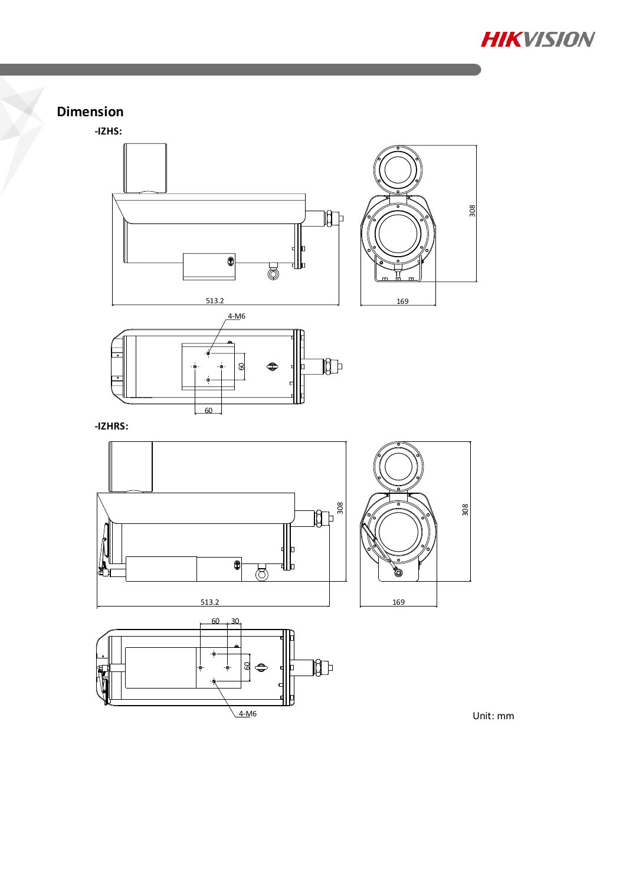

308

### **Dimension**







**-IZHRS:**



Unit: mm